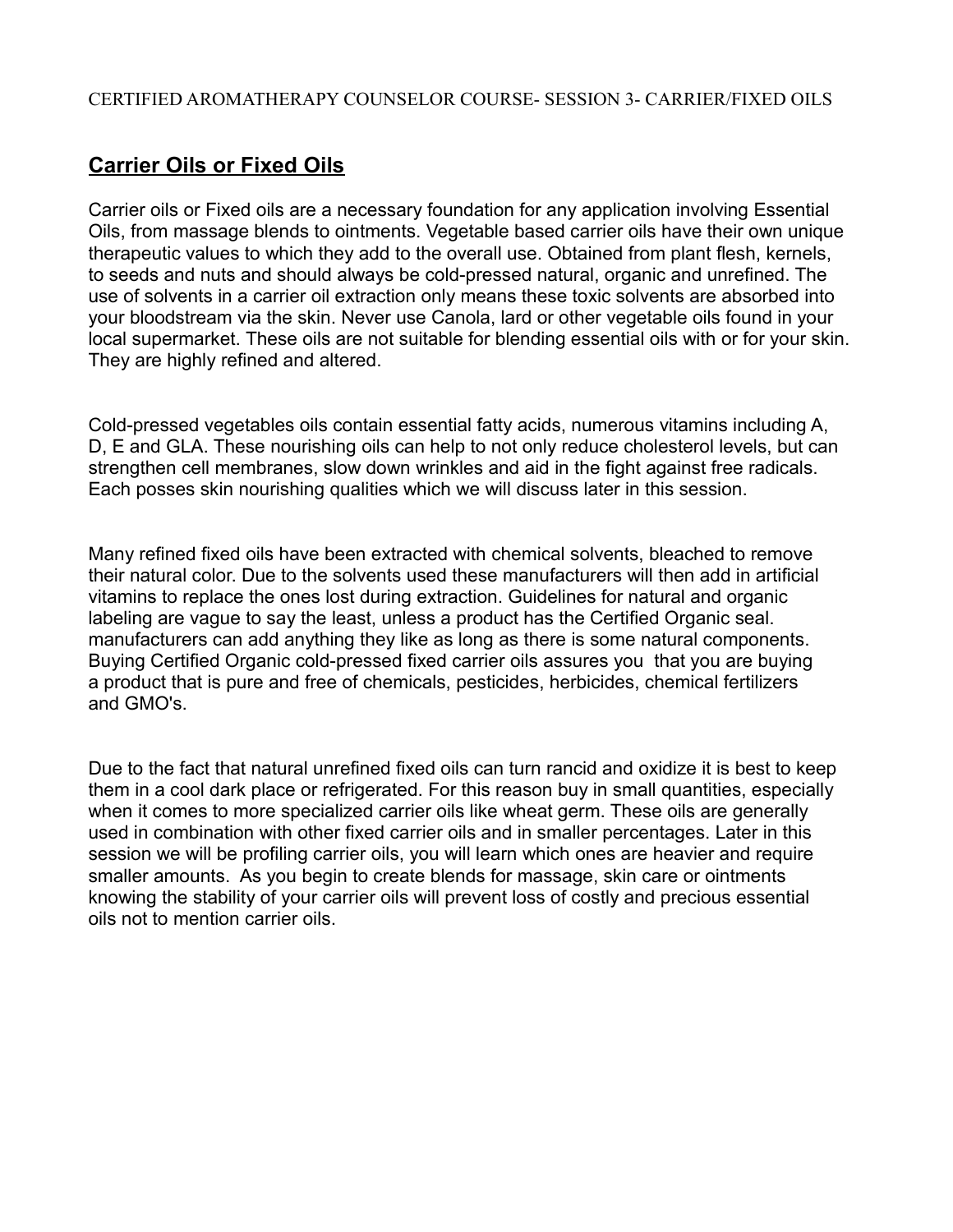# **Carrier Oils or Fixed Oils**

Carrier oils or Fixed oils are a necessary foundation for any application involving Essential Oils, from massage blends to ointments. Vegetable based carrier oils have their own unique therapeutic values to which they add to the overall use. Obtained from plant flesh, kernels, to seeds and nuts and should always be cold-pressed natural, organic and unrefined. The use of solvents in a carrier oil extraction only means these toxic solvents are absorbed into your bloodstream via the skin. Never use Canola, lard or other vegetable oils found in your local supermarket. These oils are not suitable for blending essential oils with or for your skin. They are highly refined and altered.

Cold-pressed vegetables oils contain essential fatty acids, numerous vitamins including A, D, E and GLA. These nourishing oils can help to not only reduce cholesterol levels, but can strengthen cell membranes, slow down wrinkles and aid in the fight against free radicals. Each posses skin nourishing qualities which we will discuss later in this session.

Many refined fixed oils have been extracted with chemical solvents, bleached to remove their natural color. Due to the solvents used these manufacturers will then add in artificial vitamins to replace the ones lost during extraction. Guidelines for natural and organic labeling are vague to say the least, unless a product has the Certified Organic seal. manufacturers can add anything they like as long as there is some natural components. Buying Certified Organic cold-pressed fixed carrier oils assures you that you are buying a product that is pure and free of chemicals, pesticides, herbicides, chemical fertilizers and GMO's.

Due to the fact that natural unrefined fixed oils can turn rancid and oxidize it is best to keep them in a cool dark place or refrigerated. For this reason buy in small quantities, especially when it comes to more specialized carrier oils like wheat germ. These oils are generally used in combination with other fixed carrier oils and in smaller percentages. Later in this session we will be profiling carrier oils, you will learn which ones are heavier and require smaller amounts. As you begin to create blends for massage, skin care or ointments knowing the stability of your carrier oils will prevent loss of costly and precious essential oils not to mention carrier oils.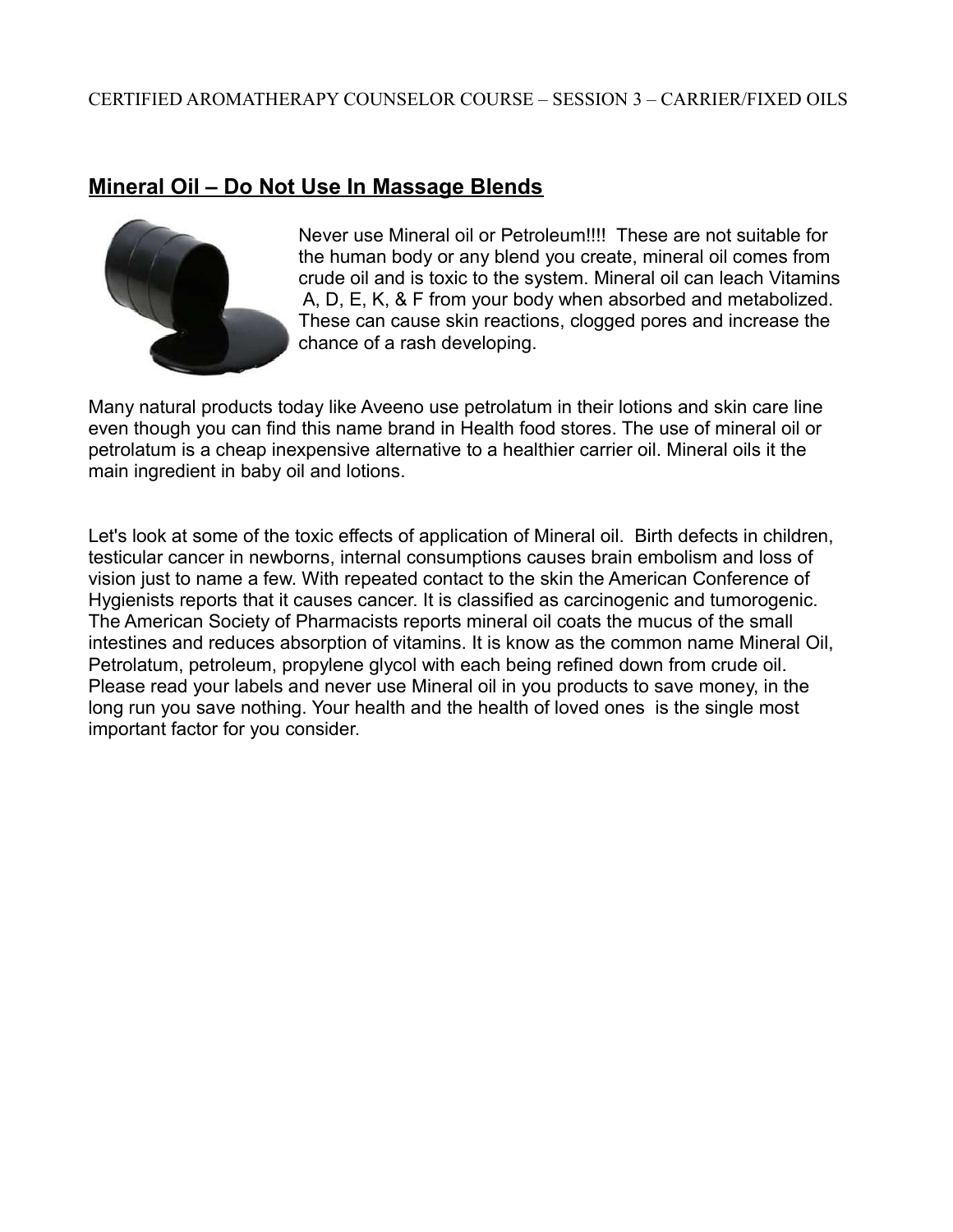## **Mineral Oil – Do Not Use In Massage Blends**



Never use Mineral oil or Petroleum!!!! These are not suitable for the human body or any blend you create, mineral oil comes from crude oil and is toxic to the system. Mineral oil can leach Vitamins A, D, E, K, & F from your body when absorbed and metabolized. These can cause skin reactions, clogged pores and increase the chance of a rash developing.

Many natural products today like Aveeno use petrolatum in their lotions and skin care line even though you can find this name brand in Health food stores. The use of mineral oil or petrolatum is a cheap inexpensive alternative to a healthier carrier oil. Mineral oils it the main ingredient in baby oil and lotions.

Let's look at some of the toxic effects of application of Mineral oil. Birth defects in children, testicular cancer in newborns, internal consumptions causes brain embolism and loss of vision just to name a few. With repeated contact to the skin the American Conference of Hygienists reports that it causes cancer. It is classified as carcinogenic and tumorogenic. The American Society of Pharmacists reports mineral oil coats the mucus of the small intestines and reduces absorption of vitamins. It is know as the common name Mineral Oil, Petrolatum, petroleum, propylene glycol with each being refined down from crude oil. Please read your labels and never use Mineral oil in you products to save money, in the long run you save nothing. Your health and the health of loved ones is the single most important factor for you consider.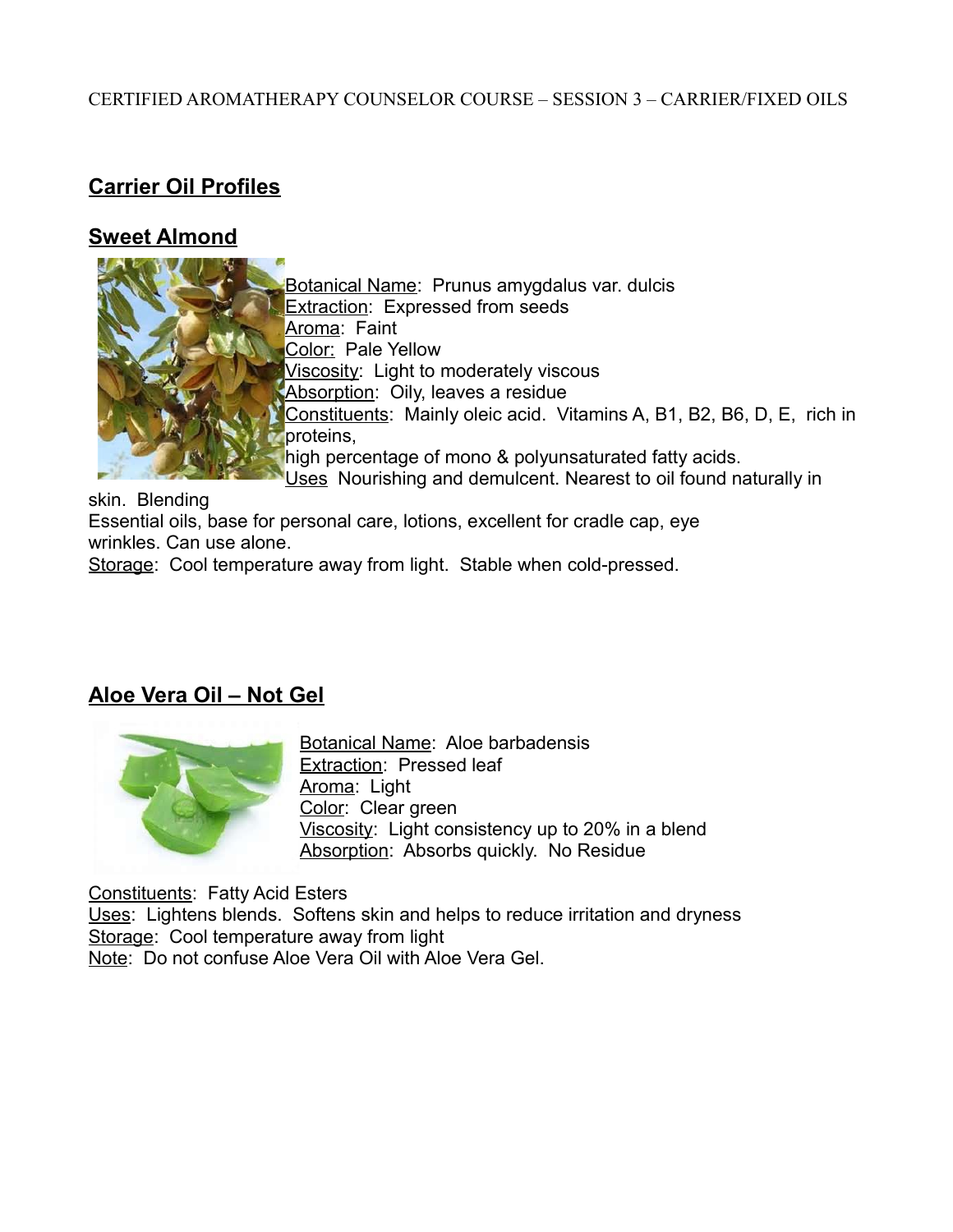## **Carrier Oil Profiles**

## **Sweet Almond**



Botanical Name: Prunus amygdalus var. dulcis **Extraction: Expressed from seeds** Aroma: Faint Color: Pale Yellow Viscosity: Light to moderately viscous Absorption: Oily, leaves a residue Constituents: Mainly oleic acid. Vitamins A, B1, B2, B6, D, E, rich in proteins, high percentage of mono & polyunsaturated fatty acids. Uses Nourishing and demulcent. Nearest to oil found naturally in

skin. Blending Essential oils, base for personal care, lotions, excellent for cradle cap, eye wrinkles. Can use alone. Storage: Cool temperature away from light. Stable when cold-pressed.

## **Aloe Vera Oil – Not Gel**



Botanical Name: Aloe barbadensis Extraction: Pressed leaf Aroma: Light Color: Clear green Viscosity: Light consistency up to 20% in a blend Absorption: Absorbs quickly. No Residue

Constituents: Fatty Acid Esters

Uses: Lightens blends. Softens skin and helps to reduce irritation and dryness Storage: Cool temperature away from light Note: Do not confuse Aloe Vera Oil with Aloe Vera Gel.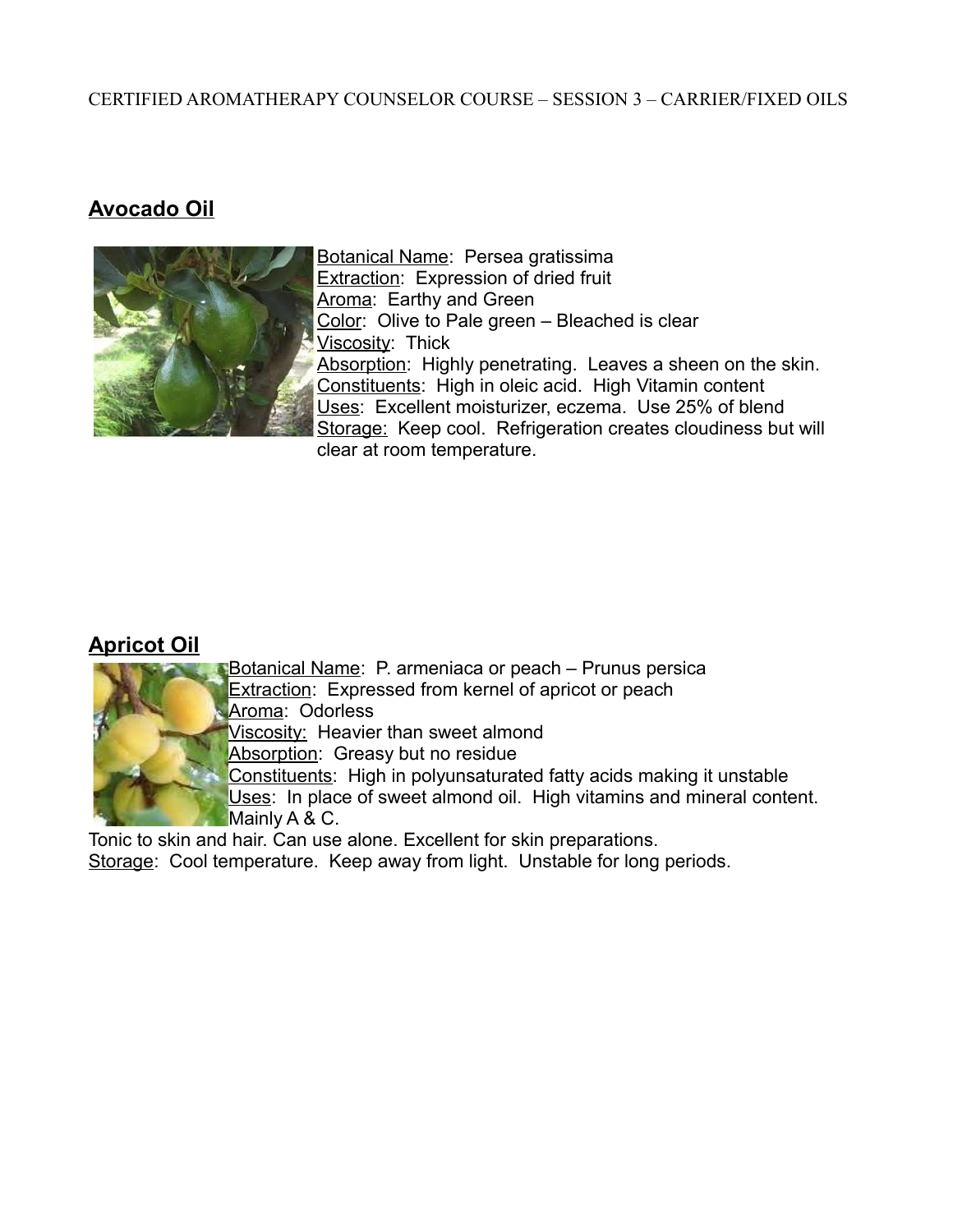## **Avocado Oil**



Botanical Name: Persea gratissima **Extraction: Expression of dried fruit** Aroma: Earthy and Green Color: Olive to Pale green – Bleached is clear Viscosity: Thick Absorption: Highly penetrating. Leaves a sheen on the skin. Constituents: High in oleic acid. High Vitamin content Uses: Excellent moisturizer, eczema. Use 25% of blend Storage: Keep cool. Refrigeration creates cloudiness but will clear at room temperature.

### **Apricot Oil**



Botanical Name: P. armeniaca or peach – Prunus persica **Extraction:** Expressed from kernel of apricot or peach Aroma: Odorless

Viscosity: Heavier than sweet almond

Absorption: Greasy but no residue

Constituents: High in polyunsaturated fatty acids making it unstable

Uses: In place of sweet almond oil. High vitamins and mineral content. Mainly A & C.

Tonic to skin and hair. Can use alone. Excellent for skin preparations.

Storage: Cool temperature. Keep away from light. Unstable for long periods.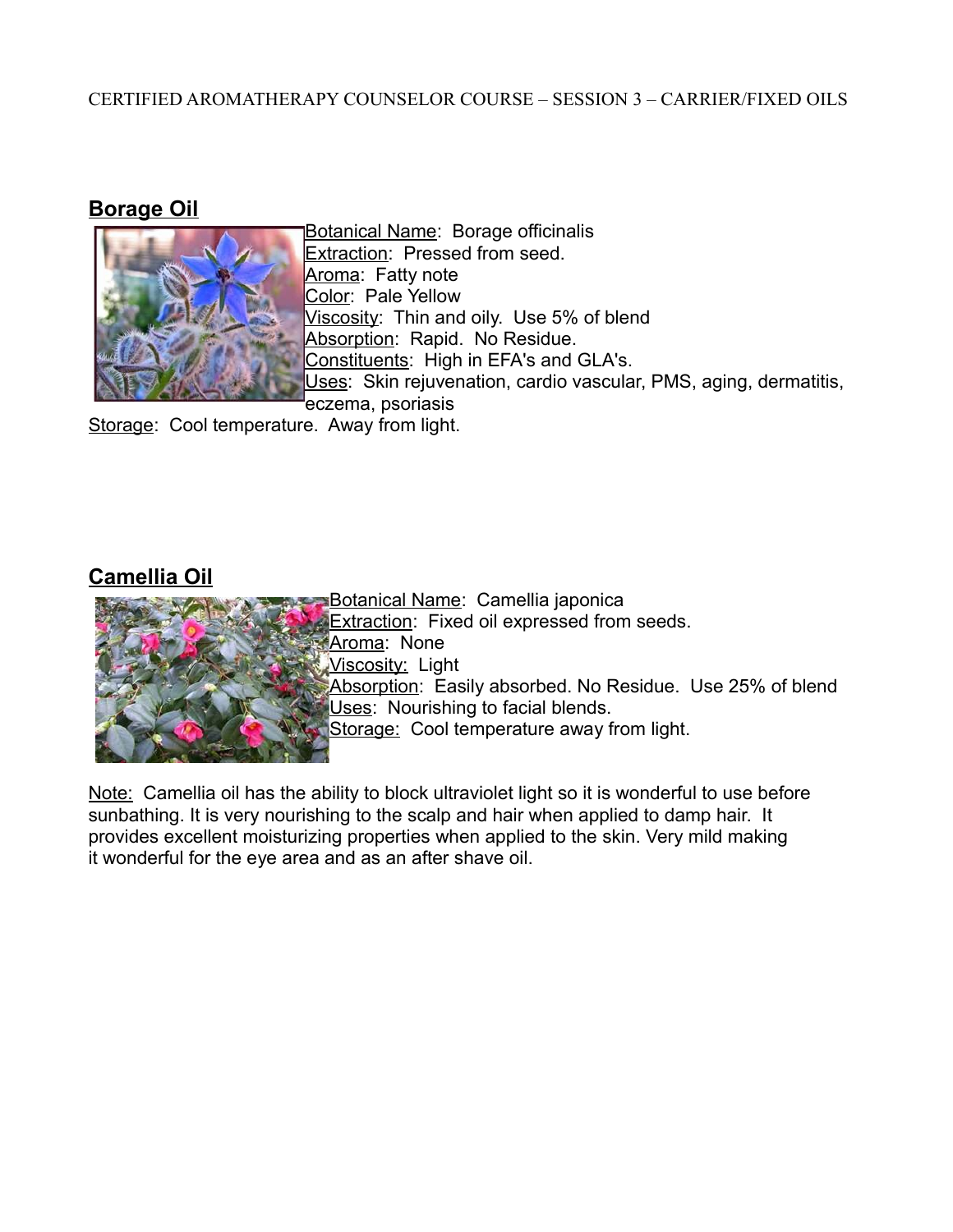### **Borage Oil**



Botanical Name: Borage officinalis Extraction: Pressed from seed. Aroma: Fatty note Color: Pale Yellow Viscosity: Thin and oily. Use 5% of blend Absorption: Rapid. No Residue. Constituents: High in EFA's and GLA's. Uses: Skin rejuvenation, cardio vascular, PMS, aging, dermatitis, eczema, psoriasis

Storage: Cool temperature. Away from light.

## **Camellia Oil**



Botanical Name: Camellia japonica **Extraction:** Fixed oil expressed from seeds. Aroma: None Viscosity: Light Absorption: Easily absorbed. No Residue. Use 25% of blend Uses: Nourishing to facial blends. Storage: Cool temperature away from light.

Note: Camellia oil has the ability to block ultraviolet light so it is wonderful to use before sunbathing. It is very nourishing to the scalp and hair when applied to damp hair. It provides excellent moisturizing properties when applied to the skin. Very mild making it wonderful for the eye area and as an after shave oil.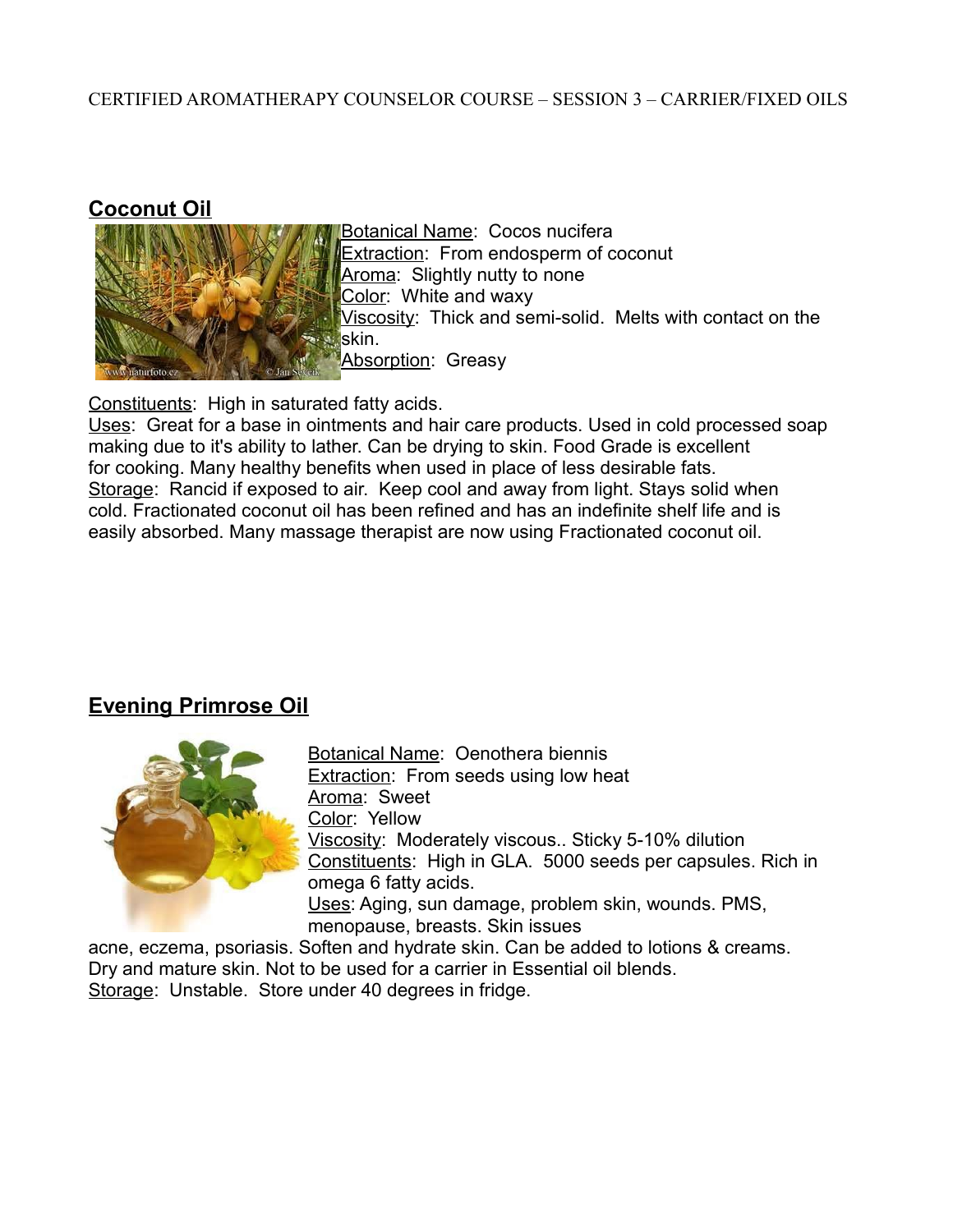#### **Coconut Oil**



Botanical Name: Cocos nucifera Extraction: From endosperm of coconut Aroma: Slightly nutty to none Color: White and waxy Viscosity: Thick and semi-solid. Melts with contact on the skin. Absorption: Greasy

Constituents: High in saturated fatty acids.

Uses: Great for a base in ointments and hair care products. Used in cold processed soap making due to it's ability to lather. Can be drying to skin. Food Grade is excellent for cooking. Many healthy benefits when used in place of less desirable fats. Storage: Rancid if exposed to air. Keep cool and away from light. Stays solid when cold. Fractionated coconut oil has been refined and has an indefinite shelf life and is easily absorbed. Many massage therapist are now using Fractionated coconut oil.

### **Evening Primrose Oil**



Botanical Name: Oenothera biennis Extraction: From seeds using low heat Aroma: Sweet Color: Yellow Viscosity: Moderately viscous.. Sticky 5-10% dilution Constituents: High in GLA. 5000 seeds per capsules. Rich in omega 6 fatty acids. Uses: Aging, sun damage, problem skin, wounds. PMS, menopause, breasts. Skin issues

acne, eczema, psoriasis. Soften and hydrate skin. Can be added to lotions & creams. Dry and mature skin. Not to be used for a carrier in Essential oil blends. Storage: Unstable. Store under 40 degrees in fridge.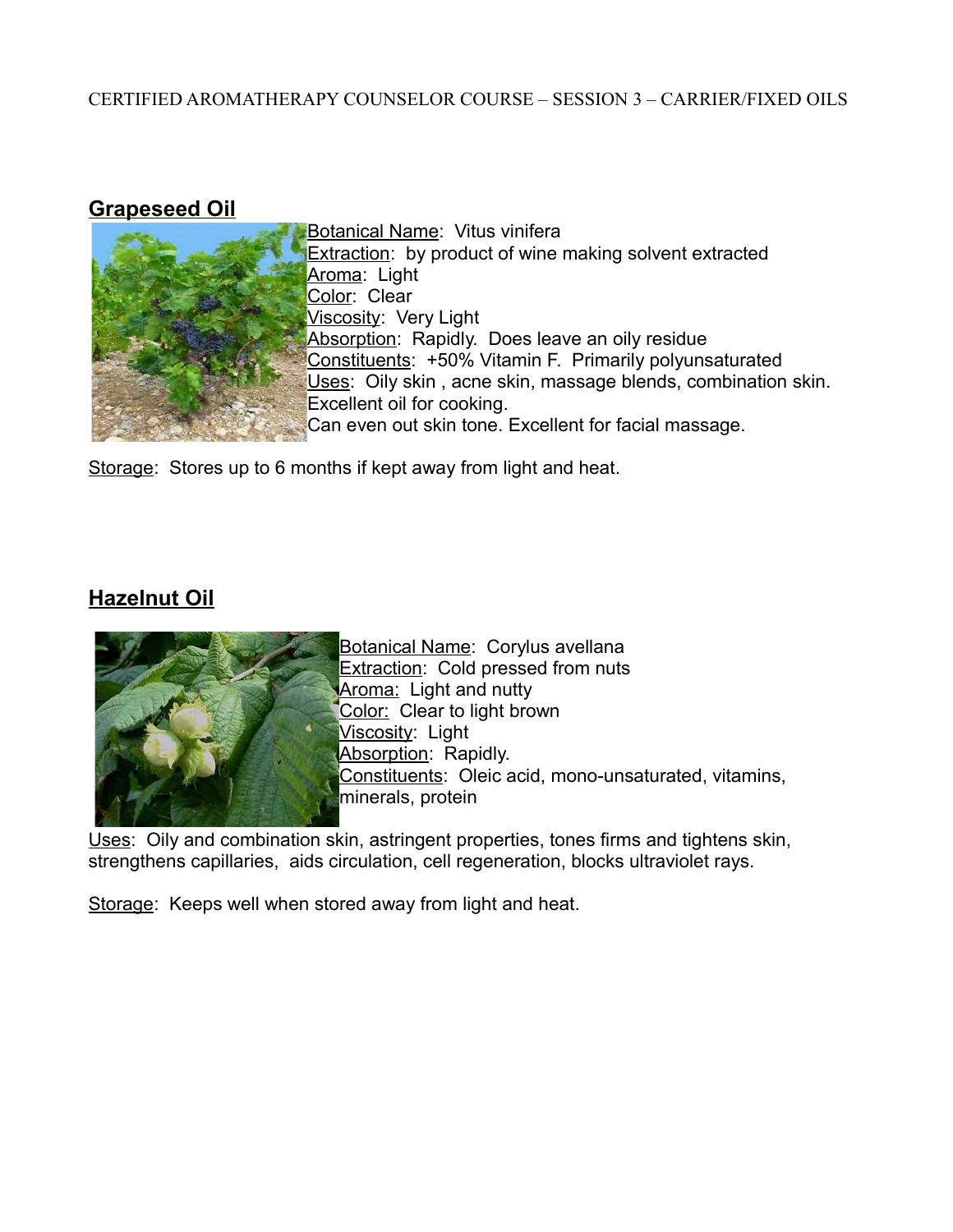#### **Grapeseed Oil**



Botanical Name: Vitus vinifera **Extraction:** by product of wine making solvent extracted Aroma: Light Color: Clear Viscosity: Very Light Absorption: Rapidly. Does leave an oily residue Constituents: +50% Vitamin F. Primarily polyunsaturated Uses: Oily skin, acne skin, massage blends, combination skin. Excellent oil for cooking. Can even out skin tone. Excellent for facial massage.

Storage: Stores up to 6 months if kept away from light and heat.

## **Hazelnut Oil**



Botanical Name: Corylus avellana Extraction: Cold pressed from nuts Aroma: Light and nutty Color: Clear to light brown Viscosity: Light Absorption: Rapidly. Constituents: Oleic acid, mono-unsaturated, vitamins, minerals, protein

Uses: Oily and combination skin, astringent properties, tones firms and tightens skin, strengthens capillaries, aids circulation, cell regeneration, blocks ultraviolet rays.

Storage: Keeps well when stored away from light and heat.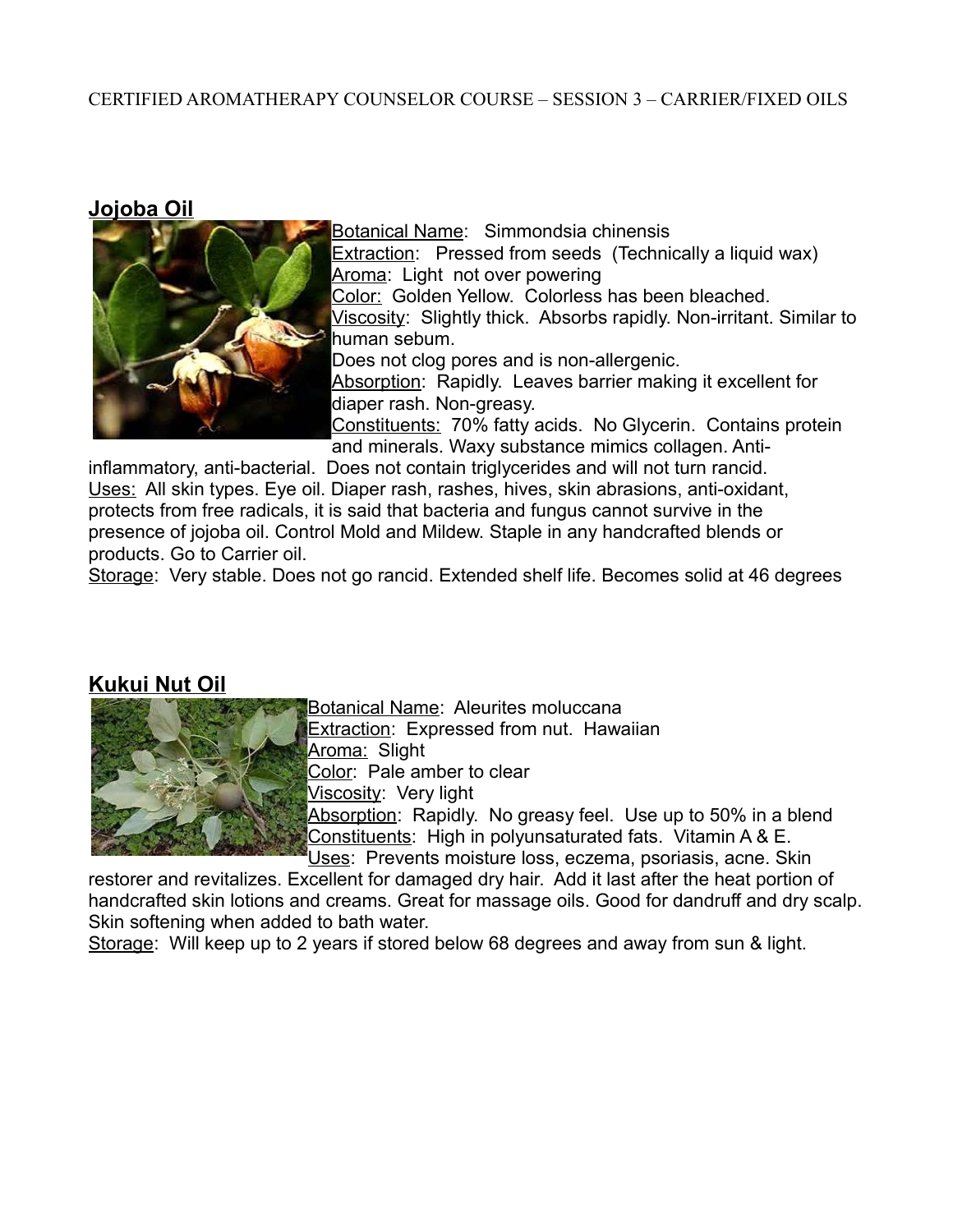**Jojoba Oil**



Botanical Name: Simmondsia chinensis **Extraction:** Pressed from seeds (Technically a liquid wax) Aroma: Light not over powering Color: Golden Yellow. Colorless has been bleached. Viscosity: Slightly thick. Absorbs rapidly. Non-irritant. Similar to human sebum. Does not clog pores and is non-allergenic. Absorption: Rapidly. Leaves barrier making it excellent for diaper rash. Non-greasy. Constituents: 70% fatty acids. No Glycerin. Contains protein and minerals. Waxy substance mimics collagen. Anti-

inflammatory, anti-bacterial. Does not contain triglycerides and will not turn rancid. Uses: All skin types. Eye oil. Diaper rash, rashes, hives, skin abrasions, anti-oxidant, protects from free radicals, it is said that bacteria and fungus cannot survive in the presence of jojoba oil. Control Mold and Mildew. Staple in any handcrafted blends or products. Go to Carrier oil.

Storage: Very stable. Does not go rancid. Extended shelf life. Becomes solid at 46 degrees

### **Kukui Nut Oil**



Botanical Name: Aleurites moluccana

Extraction: Expressed from nut. Hawaiian

Aroma: Slight

Color: Pale amber to clear

Viscosity: Very light

Absorption: Rapidly. No greasy feel. Use up to 50% in a blend Constituents: High in polyunsaturated fats. Vitamin A & E. Uses: Prevents moisture loss, eczema, psoriasis, acne. Skin

restorer and revitalizes. Excellent for damaged dry hair. Add it last after the heat portion of

handcrafted skin lotions and creams. Great for massage oils. Good for dandruff and dry scalp. Skin softening when added to bath water.

Storage: Will keep up to 2 years if stored below 68 degrees and away from sun & light.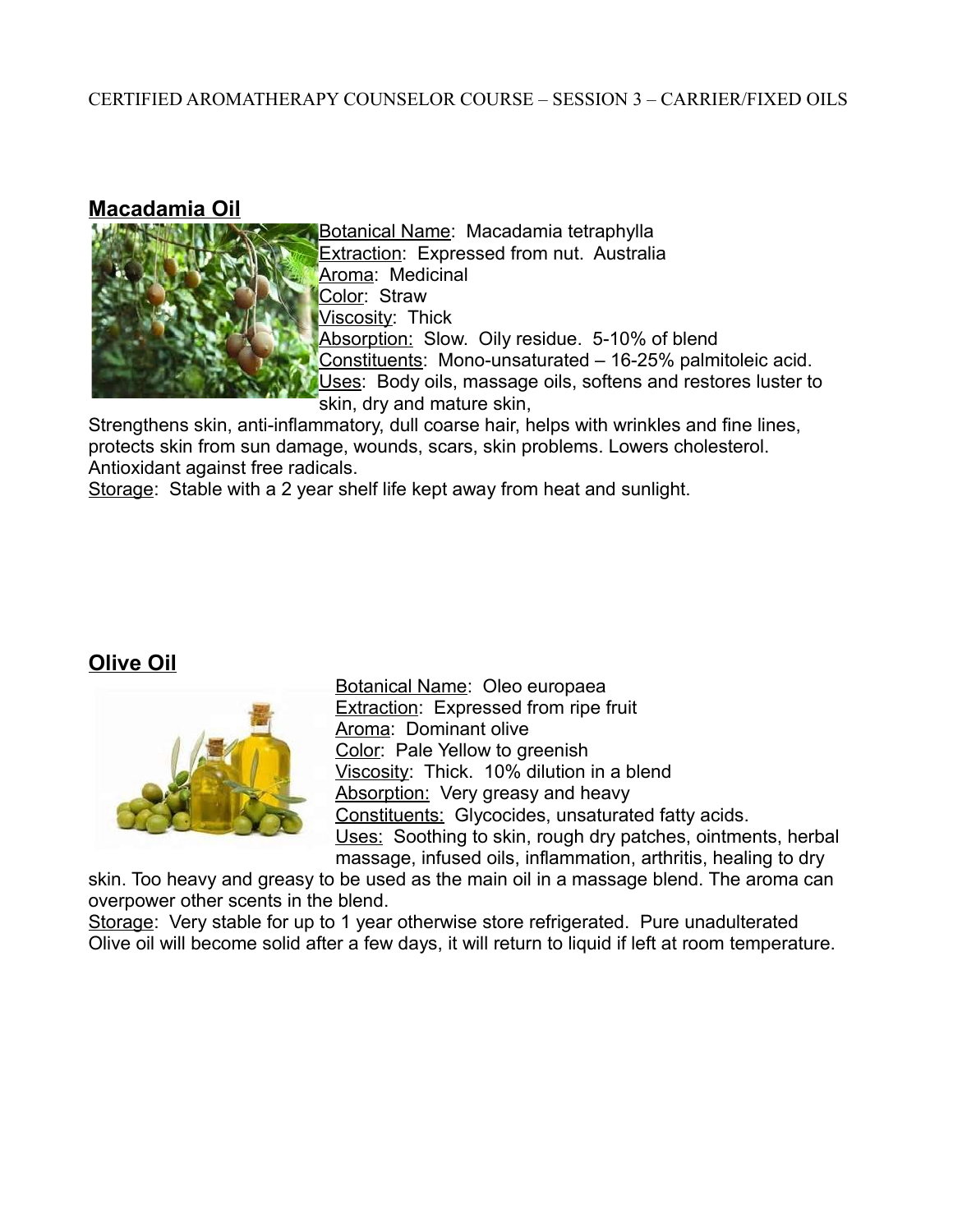#### **Macadamia Oil**



Botanical Name: Macadamia tetraphylla Extraction: Expressed from nut. Australia Aroma: Medicinal Color: Straw Viscosity: Thick Absorption: Slow. Oily residue. 5-10% of blend Constituents: Mono-unsaturated – 16-25% palmitoleic acid. Uses: Body oils, massage oils, softens and restores luster to skin, dry and mature skin,

Strengthens skin, anti-inflammatory, dull coarse hair, helps with wrinkles and fine lines, protects skin from sun damage, wounds, scars, skin problems. Lowers cholesterol. Antioxidant against free radicals.

Storage: Stable with a 2 year shelf life kept away from heat and sunlight.

## **Olive Oil**



Botanical Name: Oleo europaea Extraction: Expressed from ripe fruit Aroma: Dominant olive Color: Pale Yellow to greenish Viscosity: Thick. 10% dilution in a blend Absorption: Very greasy and heavy Constituents: Glycocides, unsaturated fatty acids. Uses: Soothing to skin, rough dry patches, ointments, herbal massage, infused oils, inflammation, arthritis, healing to dry

skin. Too heavy and greasy to be used as the main oil in a massage blend. The aroma can overpower other scents in the blend.

Storage: Very stable for up to 1 year otherwise store refrigerated. Pure unadulterated Olive oil will become solid after a few days, it will return to liquid if left at room temperature.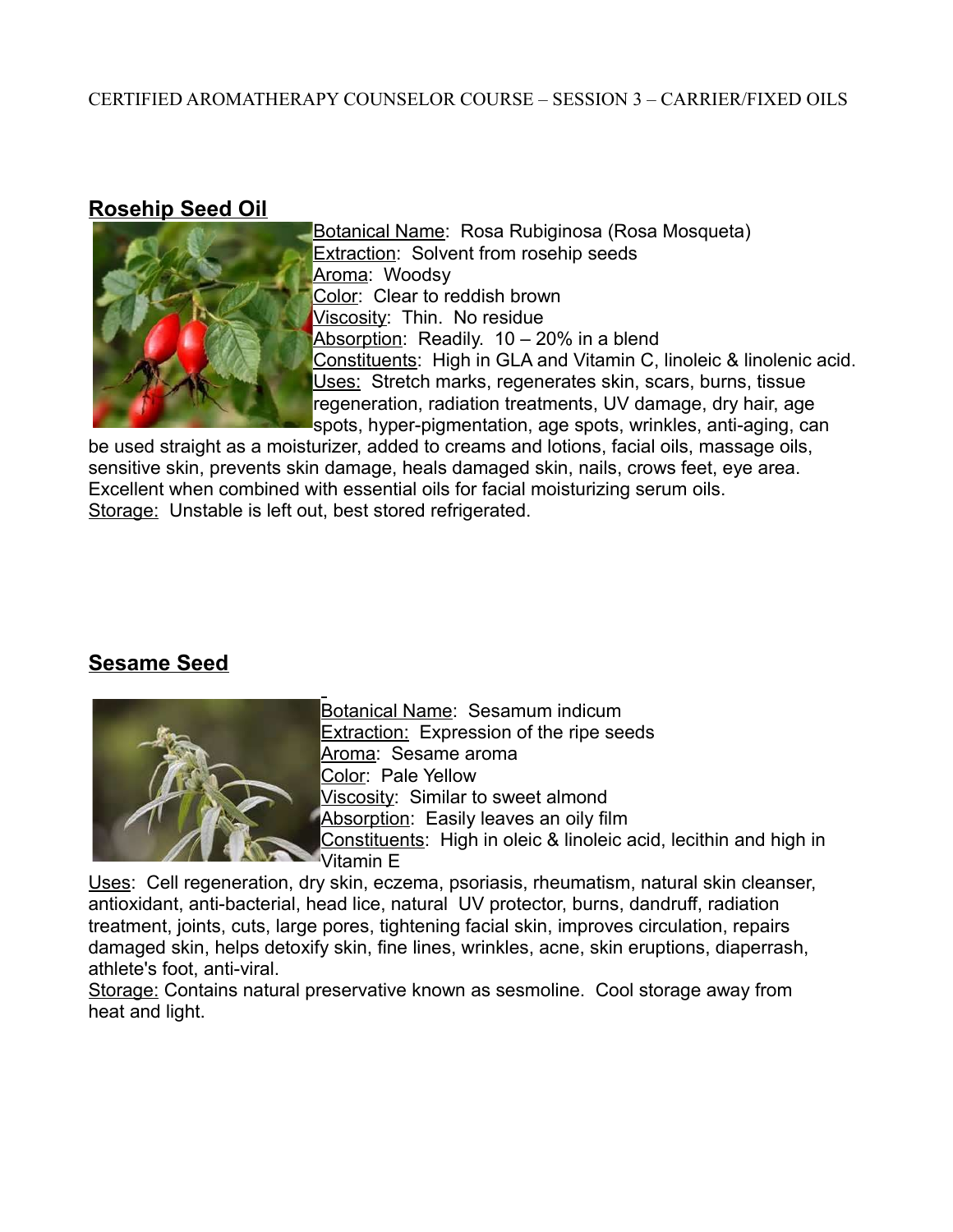### **Rosehip Seed Oil**



Botanical Name: Rosa Rubiginosa (Rosa Mosqueta) **Extraction: Solvent from rosehip seeds** Aroma: Woodsy Color: Clear to reddish brown Viscosity: Thin. No residue Absorption: Readily. 10 – 20% in a blend Constituents: High in GLA and Vitamin C, linoleic & linolenic acid. Uses: Stretch marks, regenerates skin, scars, burns, tissue regeneration, radiation treatments, UV damage, dry hair, age spots, hyper-pigmentation, age spots, wrinkles, anti-aging, can

be used straight as a moisturizer, added to creams and lotions, facial oils, massage oils, sensitive skin, prevents skin damage, heals damaged skin, nails, crows feet, eye area. Excellent when combined with essential oils for facial moisturizing serum oils. Storage: Unstable is left out, best stored refrigerated.

## **Sesame Seed**



Botanical Name: Sesamum indicum Extraction: Expression of the ripe seeds Aroma: Sesame aroma Color: Pale Yellow Viscosity: Similar to sweet almond Absorption: Easily leaves an oily film Constituents: High in oleic & linoleic acid, lecithin and high in Vitamin E

Uses: Cell regeneration, dry skin, eczema, psoriasis, rheumatism, natural skin cleanser, antioxidant, anti-bacterial, head lice, natural UV protector, burns, dandruff, radiation treatment, joints, cuts, large pores, tightening facial skin, improves circulation, repairs damaged skin, helps detoxify skin, fine lines, wrinkles, acne, skin eruptions, diaperrash, athlete's foot, anti-viral.

Storage: Contains natural preservative known as sesmoline. Cool storage away from heat and light.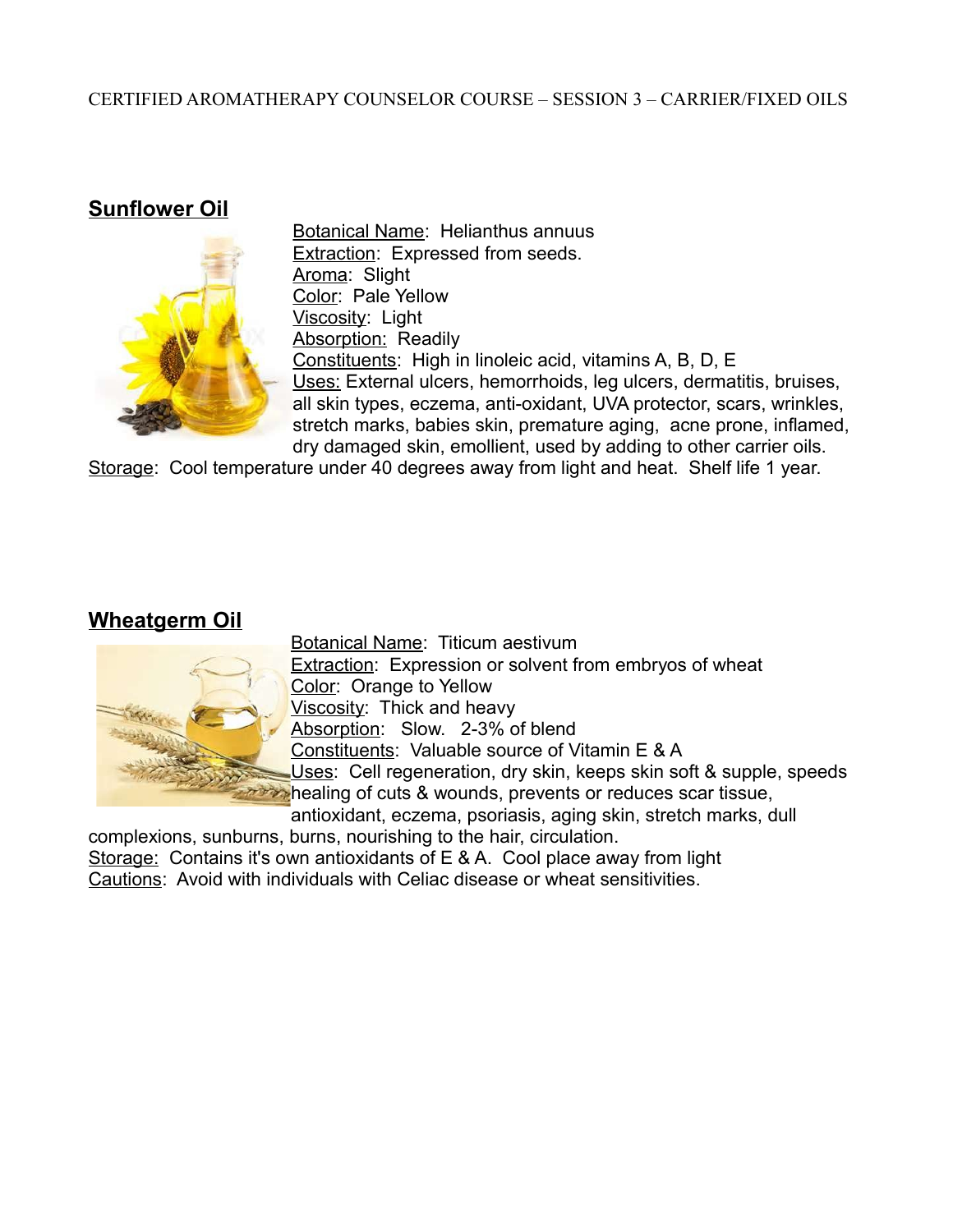### **Sunflower Oil**



Botanical Name: Helianthus annuus Extraction: Expressed from seeds. Aroma: Slight Color: Pale Yellow Viscosity: Light Absorption: Readily Constituents: High in linoleic acid, vitamins A, B, D, E Uses: External ulcers, hemorrhoids, leg ulcers, dermatitis, bruises, all skin types, eczema, anti-oxidant, UVA protector, scars, wrinkles, stretch marks, babies skin, premature aging, acne prone, inflamed, dry damaged skin, emollient, used by adding to other carrier oils.

Storage: Cool temperature under 40 degrees away from light and heat. Shelf life 1 year.

### **Wheatgerm Oil**



Botanical Name: Titicum aestivum **Extraction:** Expression or solvent from embryos of wheat Color: Orange to Yellow Viscosity: Thick and heavy Absorption: Slow. 2-3% of blend Constituents: Valuable source of Vitamin E & A Uses: Cell regeneration, dry skin, keeps skin soft & supple, speeds **EXPEDITE:** healing of cuts & wounds, prevents or reduces scar tissue, antioxidant, eczema, psoriasis, aging skin, stretch marks, dull

complexions, sunburns, burns, nourishing to the hair, circulation. Storage: Contains it's own antioxidants of E & A. Cool place away from light Cautions: Avoid with individuals with Celiac disease or wheat sensitivities.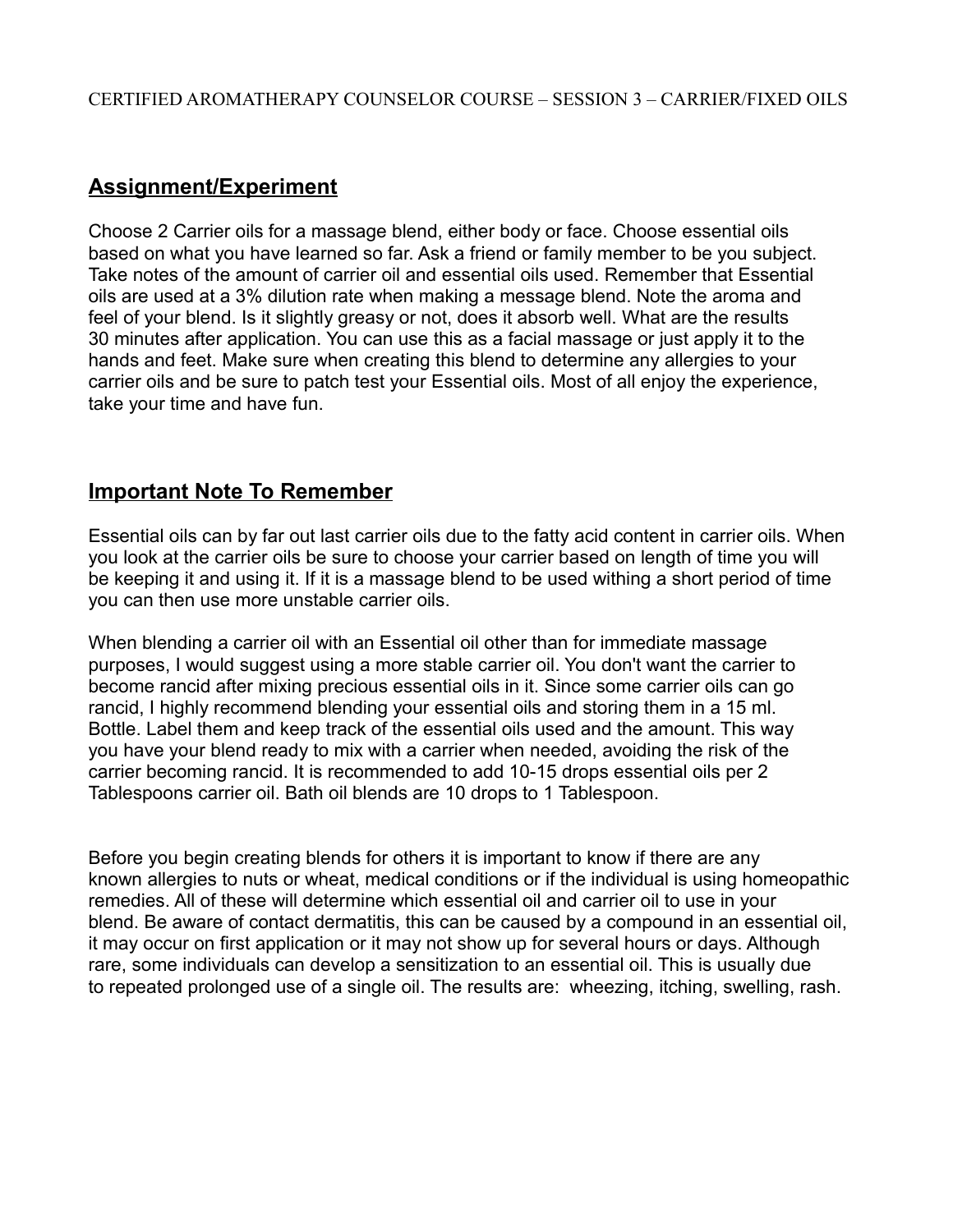## **Assignment/Experiment**

Choose 2 Carrier oils for a massage blend, either body or face. Choose essential oils based on what you have learned so far. Ask a friend or family member to be you subject. Take notes of the amount of carrier oil and essential oils used. Remember that Essential oils are used at a 3% dilution rate when making a message blend. Note the aroma and feel of your blend. Is it slightly greasy or not, does it absorb well. What are the results 30 minutes after application. You can use this as a facial massage or just apply it to the hands and feet. Make sure when creating this blend to determine any allergies to your carrier oils and be sure to patch test your Essential oils. Most of all enjoy the experience, take your time and have fun.

### **Important Note To Remember**

Essential oils can by far out last carrier oils due to the fatty acid content in carrier oils. When you look at the carrier oils be sure to choose your carrier based on length of time you will be keeping it and using it. If it is a massage blend to be used withing a short period of time you can then use more unstable carrier oils.

When blending a carrier oil with an Essential oil other than for immediate massage purposes, I would suggest using a more stable carrier oil. You don't want the carrier to become rancid after mixing precious essential oils in it. Since some carrier oils can go rancid, I highly recommend blending your essential oils and storing them in a 15 ml. Bottle. Label them and keep track of the essential oils used and the amount. This way you have your blend ready to mix with a carrier when needed, avoiding the risk of the carrier becoming rancid. It is recommended to add 10-15 drops essential oils per 2 Tablespoons carrier oil. Bath oil blends are 10 drops to 1 Tablespoon.

Before you begin creating blends for others it is important to know if there are any known allergies to nuts or wheat, medical conditions or if the individual is using homeopathic remedies. All of these will determine which essential oil and carrier oil to use in your blend. Be aware of contact dermatitis, this can be caused by a compound in an essential oil, it may occur on first application or it may not show up for several hours or days. Although rare, some individuals can develop a sensitization to an essential oil. This is usually due to repeated prolonged use of a single oil. The results are: wheezing, itching, swelling, rash.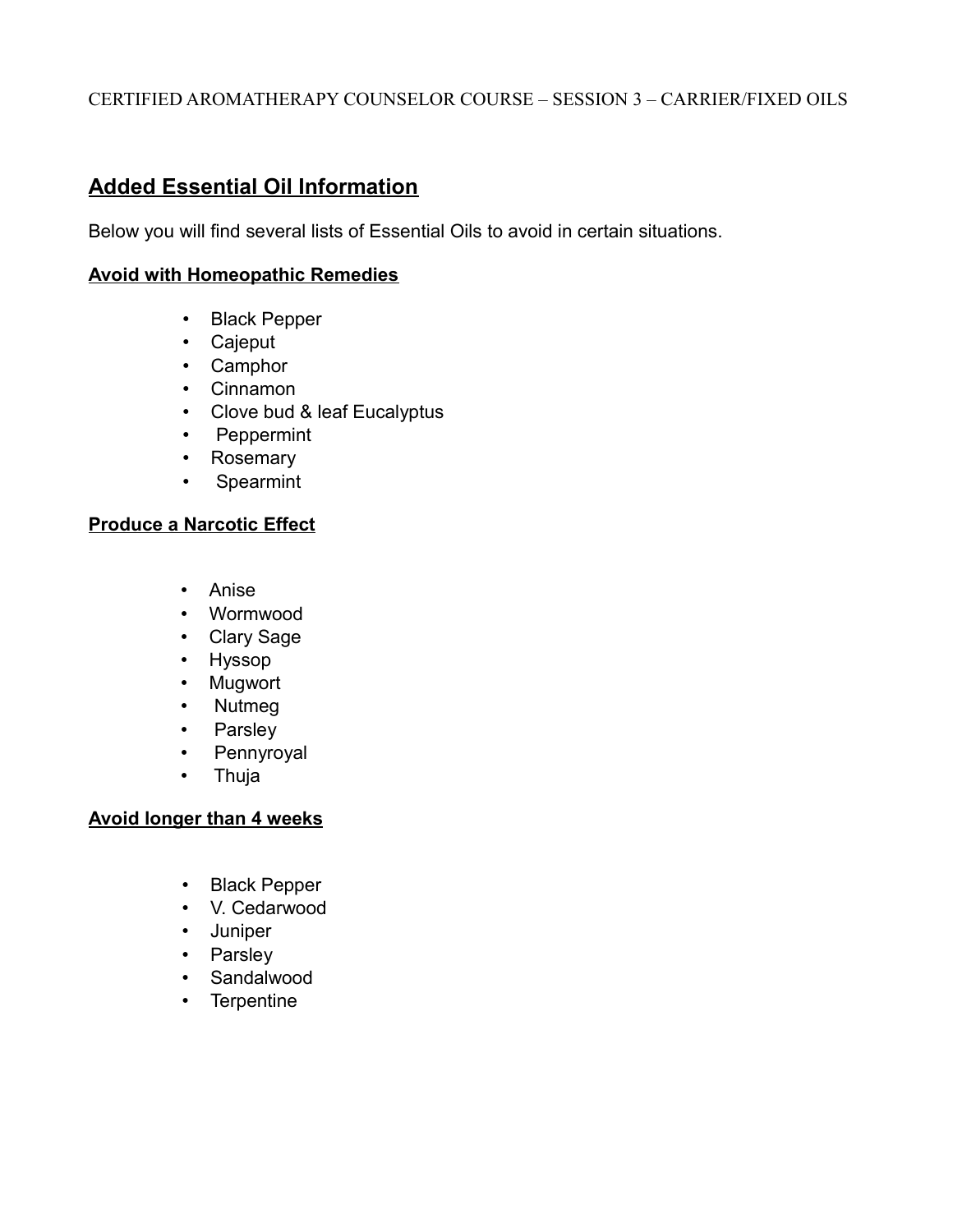## **Added Essential Oil Information**

Below you will find several lists of Essential Oils to avoid in certain situations.

#### **Avoid with Homeopathic Remedies**

- Black Pepper
- Cajeput
- Camphor
- Cinnamon
- Clove bud & leaf Eucalyptus
- Peppermint
- Rosemary
- Spearmint

#### **Produce a Narcotic Effect**

- Anise
- Wormwood
- Clary Sage
- Hyssop
- Mugwort
- Nutmeg
- Parsley
- Pennyroyal
- Thuja

#### **Avoid longer than 4 weeks**

- Black Pepper
- V. Cedarwood
- Juniper
- Parsley
- Sandalwood
- Terpentine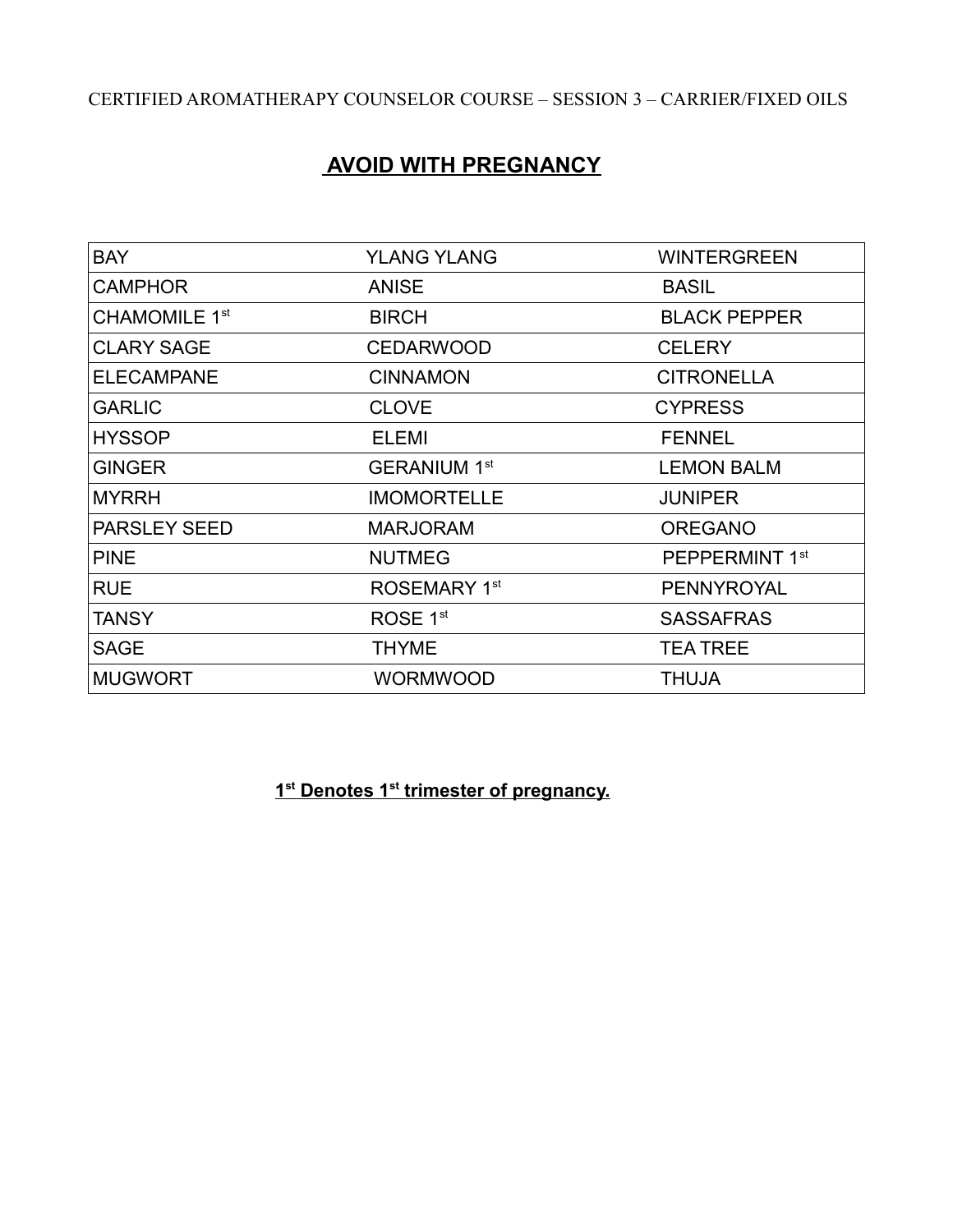# **AVOID WITH PREGNANCY**

| <b>BAY</b>                | <b>YLANG YLANG</b>       | <b>WINTERGREEN</b>         |
|---------------------------|--------------------------|----------------------------|
| <b>CAMPHOR</b>            | <b>ANISE</b>             | <b>BASIL</b>               |
| CHAMOMILE 1 <sup>st</sup> | <b>BIRCH</b>             | <b>BLACK PEPPER</b>        |
| <b>CLARY SAGE</b>         | <b>CEDARWOOD</b>         | <b>CELERY</b>              |
| <b>ELECAMPANE</b>         | <b>CINNAMON</b>          | <b>CITRONELLA</b>          |
| <b>GARLIC</b>             | <b>CLOVE</b>             | <b>CYPRESS</b>             |
| <b>HYSSOP</b>             | ELEMI                    | <b>FENNEL</b>              |
| <b>GINGER</b>             | <b>GERANIUM 1st</b>      | <b>LEMON BALM</b>          |
| <b>MYRRH</b>              | <b>IMOMORTELLE</b>       | <b>JUNIPER</b>             |
| <b>PARSLEY SEED</b>       | <b>MARJORAM</b>          | <b>OREGANO</b>             |
| <b>PINE</b>               | <b>NUTMEG</b>            | PEPPERMINT 1 <sup>st</sup> |
| <b>RUE</b>                | ROSEMARY 1 <sup>st</sup> | <b>PENNYROYAL</b>          |
| <b>TANSY</b>              | ROSE 1 <sup>st</sup>     | <b>SASSAFRAS</b>           |
| <b>SAGE</b>               | <b>THYME</b>             | <b>TEA TREE</b>            |
| <b>MUGWORT</b>            | <b>WORMWOOD</b>          | <b>THUJA</b>               |

**1 1 st Denotes 1st trimester of pregnancy.**